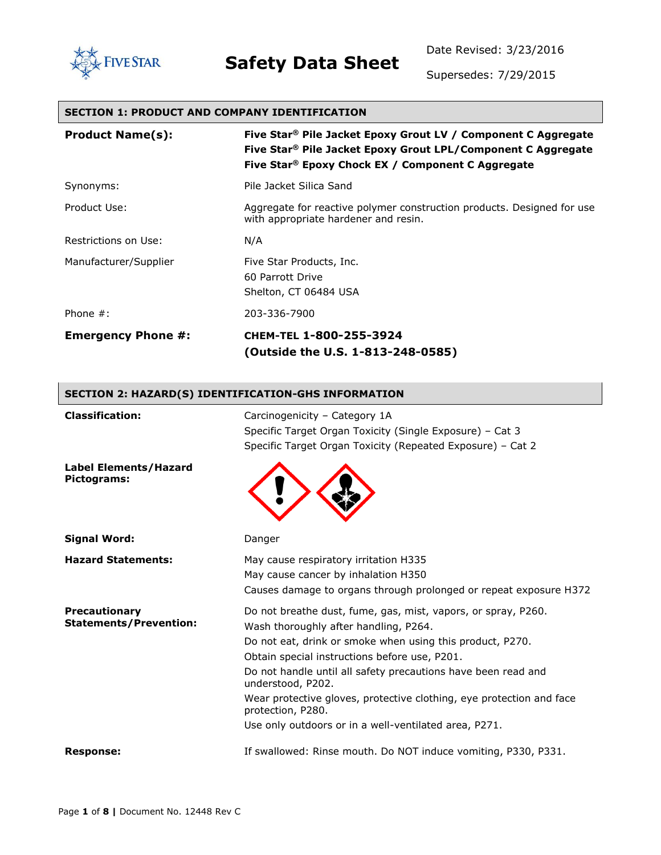

Date Revised: 3/23/2016

Supersedes: 7/29/2015

#### **SECTION 1: PRODUCT AND COMPANY IDENTIFICATION**

| <b>Product Name(s):</b>   | Five Star® Pile Jacket Epoxy Grout LV / Component C Aggregate<br>Five Star® Pile Jacket Epoxy Grout LPL/Component C Aggregate<br>Five Star <sup>®</sup> Epoxy Chock EX / Component C Aggregate |
|---------------------------|------------------------------------------------------------------------------------------------------------------------------------------------------------------------------------------------|
| Synonyms:                 | Pile Jacket Silica Sand                                                                                                                                                                        |
| Product Use:              | Aggregate for reactive polymer construction products. Designed for use<br>with appropriate hardener and resin.                                                                                 |
| Restrictions on Use:      | N/A                                                                                                                                                                                            |
| Manufacturer/Supplier     | Five Star Products, Inc.<br>60 Parrott Drive<br>Shelton, CT 06484 USA                                                                                                                          |
| Phone $#$ :               | 203-336-7900                                                                                                                                                                                   |
| <b>Emergency Phone #:</b> | CHEM-TEL 1-800-255-3924<br>(Outside the U.S. 1-813-248-0585)                                                                                                                                   |

#### **SECTION 2: HAZARD(S) IDENTIFICATION-GHS INFORMATION**

| <b>Classification:</b>                         | Carcinogenicity - Category 1A<br>Specific Target Organ Toxicity (Single Exposure) - Cat 3<br>Specific Target Organ Toxicity (Repeated Exposure) - Cat 2                                                                                                                                                                                                                                                                                                          |
|------------------------------------------------|------------------------------------------------------------------------------------------------------------------------------------------------------------------------------------------------------------------------------------------------------------------------------------------------------------------------------------------------------------------------------------------------------------------------------------------------------------------|
| <b>Label Elements/Hazard</b><br>Pictograms:    |                                                                                                                                                                                                                                                                                                                                                                                                                                                                  |
| <b>Signal Word:</b>                            | Danger                                                                                                                                                                                                                                                                                                                                                                                                                                                           |
| <b>Hazard Statements:</b>                      | May cause respiratory irritation H335<br>May cause cancer by inhalation H350<br>Causes damage to organs through prolonged or repeat exposure H372                                                                                                                                                                                                                                                                                                                |
| Precautionary<br><b>Statements/Prevention:</b> | Do not breathe dust, fume, gas, mist, vapors, or spray, P260.<br>Wash thoroughly after handling, P264.<br>Do not eat, drink or smoke when using this product, P270.<br>Obtain special instructions before use, P201.<br>Do not handle until all safety precautions have been read and<br>understood, P202.<br>Wear protective gloves, protective clothing, eye protection and face<br>protection, P280.<br>Use only outdoors or in a well-ventilated area, P271. |
| <b>Response:</b>                               | If swallowed: Rinse mouth. Do NOT induce vomiting, P330, P331.                                                                                                                                                                                                                                                                                                                                                                                                   |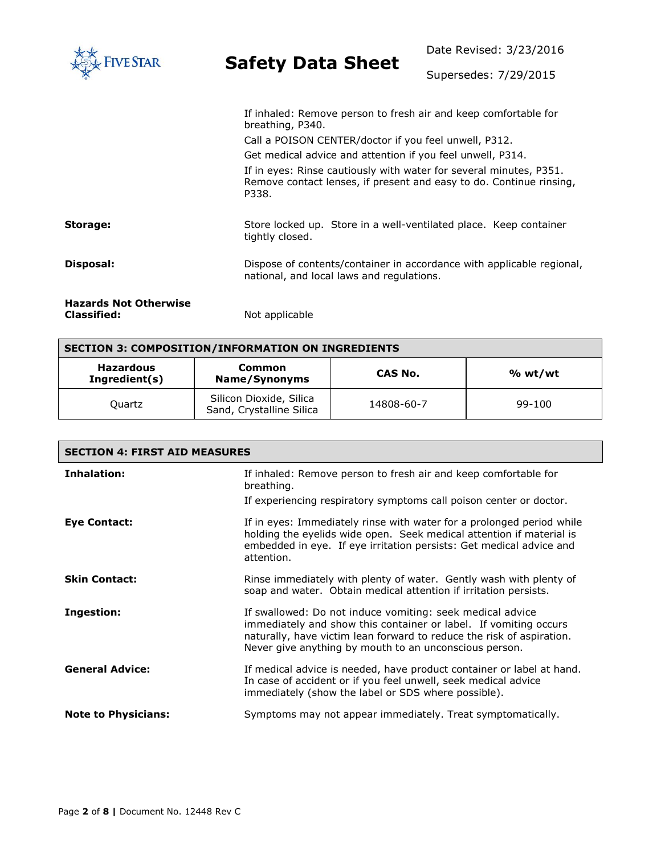| <b>IVE STAR</b>                                    | <b>Safety Data Sheet</b>                                                                                                                                                                                                                                                                                                                                         | Date Revised: 3/23/2016 |  |
|----------------------------------------------------|------------------------------------------------------------------------------------------------------------------------------------------------------------------------------------------------------------------------------------------------------------------------------------------------------------------------------------------------------------------|-------------------------|--|
|                                                    |                                                                                                                                                                                                                                                                                                                                                                  | Supersedes: 7/29/2015   |  |
|                                                    | If inhaled: Remove person to fresh air and keep comfortable for<br>breathing, P340.<br>Call a POISON CENTER/doctor if you feel unwell, P312.<br>Get medical advice and attention if you feel unwell, P314.<br>If in eyes: Rinse cautiously with water for several minutes, P351.<br>Remove contact lenses, if present and easy to do. Continue rinsing,<br>P338. |                         |  |
| Storage:                                           | Store locked up. Store in a well-ventilated place. Keep container<br>tightly closed.                                                                                                                                                                                                                                                                             |                         |  |
| Disposal:                                          | Dispose of contents/container in accordance with applicable regional,<br>national, and local laws and regulations.                                                                                                                                                                                                                                               |                         |  |
| <b>Hazards Not Otherwise</b><br><b>Classified:</b> | Not applicable                                                                                                                                                                                                                                                                                                                                                   |                         |  |

| <b>SECTION 3: COMPOSITION/INFORMATION ON INGREDIENTS</b> |                                                     |            |            |
|----------------------------------------------------------|-----------------------------------------------------|------------|------------|
| <b>Hazardous</b><br>Ingredient(s)                        | Common<br>Name/Synonyms                             | CAS No.    | % wt/wt    |
| <b>Ouartz</b>                                            | Silicon Dioxide, Silica<br>Sand, Crystalline Silica | 14808-60-7 | $99 - 100$ |

٦

| <b>SECTION 4: FIRST AID MEASURES</b> |                                                                                                                                                                                                                                                                  |  |
|--------------------------------------|------------------------------------------------------------------------------------------------------------------------------------------------------------------------------------------------------------------------------------------------------------------|--|
| Inhalation:                          | If inhaled: Remove person to fresh air and keep comfortable for<br>breathing.                                                                                                                                                                                    |  |
|                                      | If experiencing respiratory symptoms call poison center or doctor.                                                                                                                                                                                               |  |
| Eye Contact:                         | If in eyes: Immediately rinse with water for a prolonged period while<br>holding the eyelids wide open. Seek medical attention if material is<br>embedded in eye. If eye irritation persists: Get medical advice and<br>attention.                               |  |
| <b>Skin Contact:</b>                 | Rinse immediately with plenty of water. Gently wash with plenty of<br>soap and water. Obtain medical attention if irritation persists.                                                                                                                           |  |
| Ingestion:                           | If swallowed: Do not induce vomiting: seek medical advice<br>immediately and show this container or label. If vomiting occurs<br>naturally, have victim lean forward to reduce the risk of aspiration.<br>Never give anything by mouth to an unconscious person. |  |
| <b>General Advice:</b>               | If medical advice is needed, have product container or label at hand.<br>In case of accident or if you feel unwell, seek medical advice<br>immediately (show the label or SDS where possible).                                                                   |  |
| <b>Note to Physicians:</b>           | Symptoms may not appear immediately. Treat symptomatically.                                                                                                                                                                                                      |  |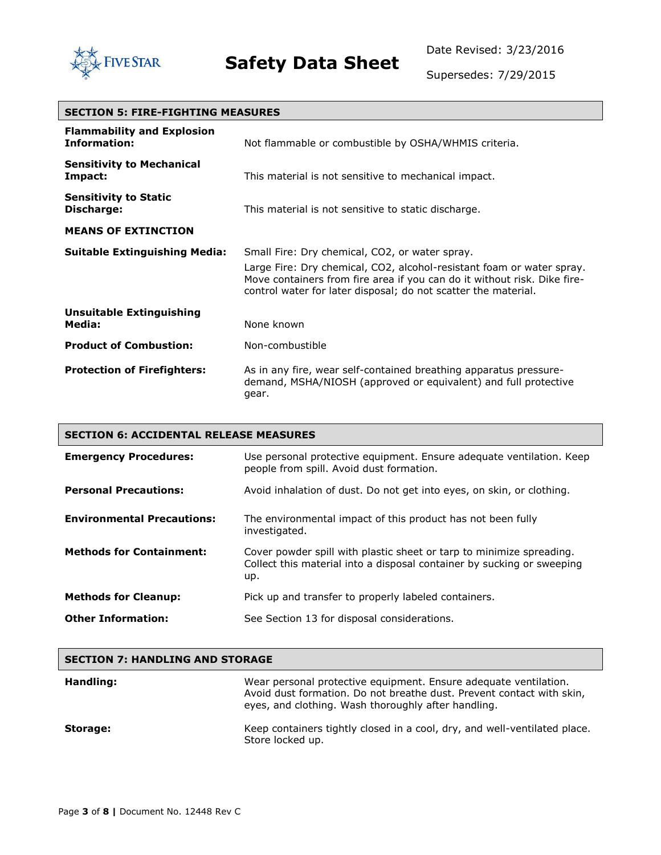

Date Revised: 3/23/2016

Supersedes: 7/29/2015

┓

| <b>SECTION 5: FIRE-FIGHTING MEASURES</b>                 |                                                                                                                                                                                                                                                                       |  |
|----------------------------------------------------------|-----------------------------------------------------------------------------------------------------------------------------------------------------------------------------------------------------------------------------------------------------------------------|--|
| <b>Flammability and Explosion</b><br><b>Information:</b> | Not flammable or combustible by OSHA/WHMIS criteria.                                                                                                                                                                                                                  |  |
| <b>Sensitivity to Mechanical</b><br>Impact:              | This material is not sensitive to mechanical impact.                                                                                                                                                                                                                  |  |
| <b>Sensitivity to Static</b><br>Discharge:               | This material is not sensitive to static discharge.                                                                                                                                                                                                                   |  |
| <b>MEANS OF EXTINCTION</b>                               |                                                                                                                                                                                                                                                                       |  |
| <b>Suitable Extinguishing Media:</b>                     | Small Fire: Dry chemical, CO2, or water spray.<br>Large Fire: Dry chemical, CO2, alcohol-resistant foam or water spray.<br>Move containers from fire area if you can do it without risk. Dike fire-<br>control water for later disposal; do not scatter the material. |  |
| <b>Unsuitable Extinguishing</b><br>Media:                | None known                                                                                                                                                                                                                                                            |  |
| <b>Product of Combustion:</b>                            | Non-combustible                                                                                                                                                                                                                                                       |  |
| <b>Protection of Firefighters:</b>                       | As in any fire, wear self-contained breathing apparatus pressure-<br>demand, MSHA/NIOSH (approved or equivalent) and full protective<br>gear.                                                                                                                         |  |

| <b>SECTION 6: ACCIDENTAL RELEASE MEASURES</b> |                                                                                                                                                       |  |
|-----------------------------------------------|-------------------------------------------------------------------------------------------------------------------------------------------------------|--|
| <b>Emergency Procedures:</b>                  | Use personal protective equipment. Ensure adequate ventilation. Keep<br>people from spill. Avoid dust formation.                                      |  |
| <b>Personal Precautions:</b>                  | Avoid inhalation of dust. Do not get into eyes, on skin, or clothing.                                                                                 |  |
| <b>Environmental Precautions:</b>             | The environmental impact of this product has not been fully<br>investigated.                                                                          |  |
| <b>Methods for Containment:</b>               | Cover powder spill with plastic sheet or tarp to minimize spreading.<br>Collect this material into a disposal container by sucking or sweeping<br>up. |  |
| <b>Methods for Cleanup:</b>                   | Pick up and transfer to properly labeled containers.                                                                                                  |  |
| <b>Other Information:</b>                     | See Section 13 for disposal considerations.                                                                                                           |  |

#### **SECTION 7: HANDLING AND STORAGE**

| Handling: | Wear personal protective equipment. Ensure adequate ventilation.<br>Avoid dust formation. Do not breathe dust. Prevent contact with skin,<br>eyes, and clothing. Wash thoroughly after handling. |
|-----------|--------------------------------------------------------------------------------------------------------------------------------------------------------------------------------------------------|
| Storage:  | Keep containers tightly closed in a cool, dry, and well-ventilated place.<br>Store locked up.                                                                                                    |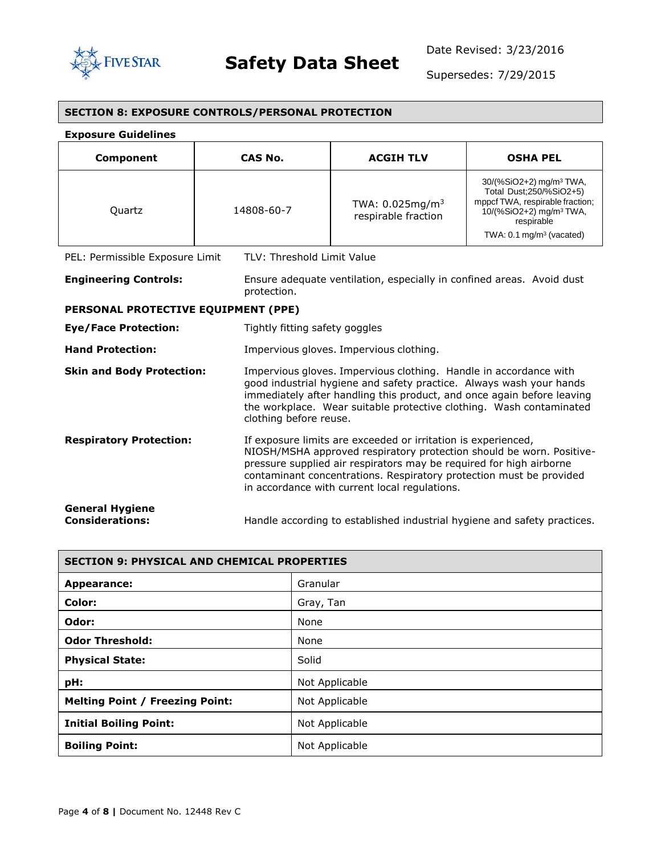

Supersedes: 7/29/2015

| <b>SECTION 8: EXPOSURE CONTROLS/PERSONAL PROTECTION</b> |                                |                                                                                                                                                                                                                                                                                           |                                                                                                                                                                                                  |
|---------------------------------------------------------|--------------------------------|-------------------------------------------------------------------------------------------------------------------------------------------------------------------------------------------------------------------------------------------------------------------------------------------|--------------------------------------------------------------------------------------------------------------------------------------------------------------------------------------------------|
| <b>Exposure Guidelines</b>                              |                                |                                                                                                                                                                                                                                                                                           |                                                                                                                                                                                                  |
| Component                                               | <b>CAS No.</b>                 | <b>ACGIH TLV</b>                                                                                                                                                                                                                                                                          | <b>OSHA PEL</b>                                                                                                                                                                                  |
| Quartz                                                  | 14808-60-7                     | TWA: $0.025mg/m3$<br>respirable fraction                                                                                                                                                                                                                                                  | 30/(%SiO2+2) mg/m <sup>3</sup> TWA,<br>Total Dust; 250/% SiO2+5)<br>mppcf TWA, respirable fraction;<br>10/(%SiO2+2) mg/m <sup>3</sup> TWA,<br>respirable<br>TWA: 0.1 mg/m <sup>3</sup> (vacated) |
| PEL: Permissible Exposure Limit                         | TLV: Threshold Limit Value     |                                                                                                                                                                                                                                                                                           |                                                                                                                                                                                                  |
| <b>Engineering Controls:</b>                            | protection.                    | Ensure adequate ventilation, especially in confined areas. Avoid dust                                                                                                                                                                                                                     |                                                                                                                                                                                                  |
| PERSONAL PROTECTIVE EQUIPMENT (PPE)                     |                                |                                                                                                                                                                                                                                                                                           |                                                                                                                                                                                                  |
| <b>Eye/Face Protection:</b>                             | Tightly fitting safety goggles |                                                                                                                                                                                                                                                                                           |                                                                                                                                                                                                  |
| <b>Hand Protection:</b>                                 |                                | Impervious gloves. Impervious clothing.                                                                                                                                                                                                                                                   |                                                                                                                                                                                                  |
| <b>Skin and Body Protection:</b>                        | clothing before reuse.         | Impervious gloves. Impervious clothing. Handle in accordance with<br>good industrial hygiene and safety practice. Always wash your hands<br>immediately after handling this product, and once again before leaving<br>the workplace. Wear suitable protective clothing. Wash contaminated |                                                                                                                                                                                                  |
| <b>Respiratory Protection:</b>                          |                                | If exposure limits are exceeded or irritation is experienced,<br>pressure supplied air respirators may be required for high airborne<br>contaminant concentrations. Respiratory protection must be provided<br>in accordance with current local regulations.                              | NIOSH/MSHA approved respiratory protection should be worn. Positive-                                                                                                                             |
| <b>General Hygiene</b><br><b>Considerations:</b>        |                                |                                                                                                                                                                                                                                                                                           | Handle according to established industrial hygiene and safety practices.                                                                                                                         |

| <b>SECTION 9: PHYSICAL AND CHEMICAL PROPERTIES</b> |                |  |
|----------------------------------------------------|----------------|--|
| Appearance:                                        | Granular       |  |
| Color:                                             | Gray, Tan      |  |
| Odor:                                              | None           |  |
| <b>Odor Threshold:</b>                             | None           |  |
| <b>Physical State:</b>                             | Solid          |  |
| pH:                                                | Not Applicable |  |
| <b>Melting Point / Freezing Point:</b>             | Not Applicable |  |
| <b>Initial Boiling Point:</b>                      | Not Applicable |  |
| <b>Boiling Point:</b>                              | Not Applicable |  |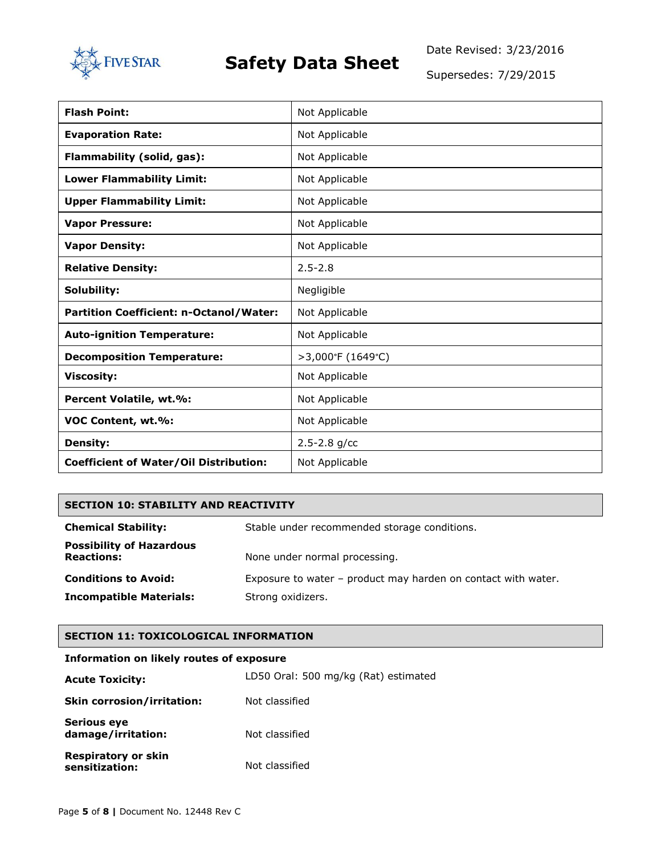

Date Revised: 3/23/2016

Supersedes: 7/29/2015

| <b>Flash Point:</b>                            | Not Applicable    |
|------------------------------------------------|-------------------|
| <b>Evaporation Rate:</b>                       | Not Applicable    |
| Flammability (solid, gas):                     | Not Applicable    |
| <b>Lower Flammability Limit:</b>               | Not Applicable    |
| <b>Upper Flammability Limit:</b>               | Not Applicable    |
| <b>Vapor Pressure:</b>                         | Not Applicable    |
| <b>Vapor Density:</b>                          | Not Applicable    |
| <b>Relative Density:</b>                       | $2.5 - 2.8$       |
| Solubility:                                    | Negligible        |
| <b>Partition Coefficient: n-Octanol/Water:</b> | Not Applicable    |
| <b>Auto-ignition Temperature:</b>              | Not Applicable    |
| <b>Decomposition Temperature:</b>              | >3,000°F (1649°C) |
| <b>Viscosity:</b>                              | Not Applicable    |
| Percent Volatile, wt.%:                        | Not Applicable    |
| VOC Content, wt.%:                             | Not Applicable    |
| <b>Density:</b>                                | $2.5 - 2.8$ g/cc  |
| <b>Coefficient of Water/Oil Distribution:</b>  | Not Applicable    |

#### **SECTION 10: STABILITY AND REACTIVITY**

| <b>Chemical Stability:</b>                           | Stable under recommended storage conditions.                  |
|------------------------------------------------------|---------------------------------------------------------------|
| <b>Possibility of Hazardous</b><br><b>Reactions:</b> | None under normal processing.                                 |
| <b>Conditions to Avoid:</b>                          | Exposure to water – product may harden on contact with water. |
| <b>Incompatible Materials:</b>                       | Strong oxidizers.                                             |

#### **SECTION 11: TOXICOLOGICAL INFORMATION**

#### **Information on likely routes of exposure**

| <b>Acute Toxicity:</b>                       | LD50 Oral: 500 mg/kg (Rat) estimated |
|----------------------------------------------|--------------------------------------|
| <b>Skin corrosion/irritation:</b>            | Not classified                       |
| <b>Serious eye</b><br>damage/irritation:     | Not classified                       |
| <b>Respiratory or skin</b><br>sensitization: | Not classified                       |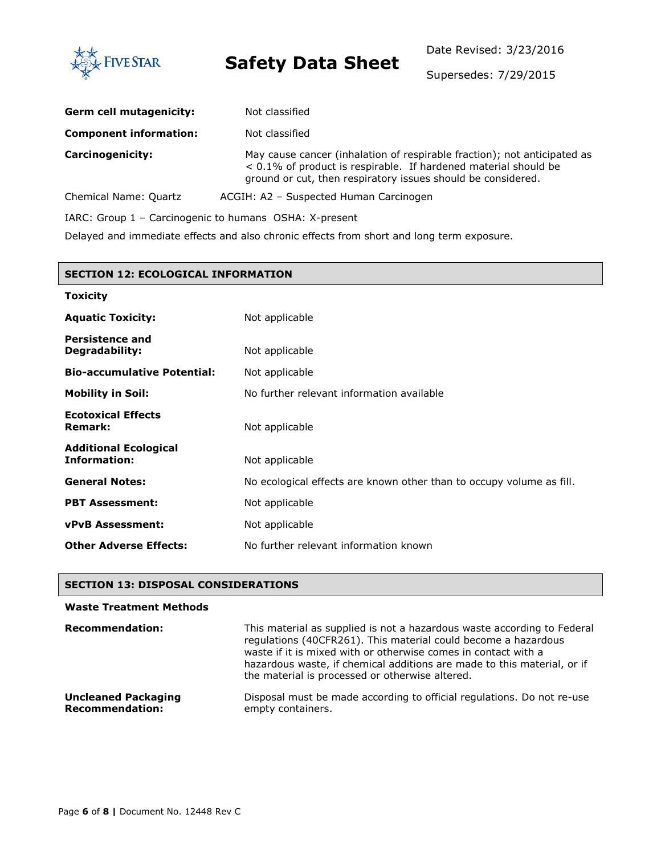

Date Revised: 3/23/2016

Supersedes: 7/29/2015

| Germ cell mutagenicity:                                | Not classified                                                                                                                                                                                              |  |  |  |
|--------------------------------------------------------|-------------------------------------------------------------------------------------------------------------------------------------------------------------------------------------------------------------|--|--|--|
| <b>Component information:</b>                          | Not classified                                                                                                                                                                                              |  |  |  |
| <b>Carcinogenicity:</b>                                | May cause cancer (inhalation of respirable fraction); not anticipated as<br>< 0.1% of product is respirable. If hardened material should be<br>ground or cut, then respiratory issues should be considered. |  |  |  |
| Chemical Name: Quartz                                  | ACGIH: A2 - Suspected Human Carcinogen                                                                                                                                                                      |  |  |  |
| IARC: Group 1 - Carcinogenic to humans OSHA: X-present |                                                                                                                                                                                                             |  |  |  |

Delayed and immediate effects and also chronic effects from short and long term exposure.

| <b>SECTION 12: ECOLOGICAL INFORMATION</b>           |                                                                      |  |  |  |
|-----------------------------------------------------|----------------------------------------------------------------------|--|--|--|
| <b>Toxicity</b>                                     |                                                                      |  |  |  |
| <b>Aquatic Toxicity:</b>                            | Not applicable                                                       |  |  |  |
| <b>Persistence and</b><br>Degradability:            | Not applicable                                                       |  |  |  |
| <b>Bio-accumulative Potential:</b>                  | Not applicable                                                       |  |  |  |
| <b>Mobility in Soil:</b>                            | No further relevant information available                            |  |  |  |
| <b>Ecotoxical Effects</b><br><b>Remark:</b>         | Not applicable                                                       |  |  |  |
| <b>Additional Ecological</b><br><b>Information:</b> | Not applicable                                                       |  |  |  |
| <b>General Notes:</b>                               | No ecological effects are known other than to occupy volume as fill. |  |  |  |
| <b>PBT Assessment:</b>                              | Not applicable                                                       |  |  |  |
| <b>vPvB Assessment:</b>                             | Not applicable                                                       |  |  |  |
| <b>Other Adverse Effects:</b>                       | No further relevant information known                                |  |  |  |

#### **SECTION 13: DISPOSAL CONSIDERATIONS**

#### **Waste Treatment Methods Recommendation:** This material as supplied is not a hazardous waste according to Federal regulations (40CFR261). This material could become a hazardous waste if it is mixed with or otherwise comes in contact with a hazardous waste, if chemical additions are made to this material, or if the material is processed or otherwise altered. **Uncleaned Packaging Recommendation:** Disposal must be made according to official regulations. Do not re-use empty containers.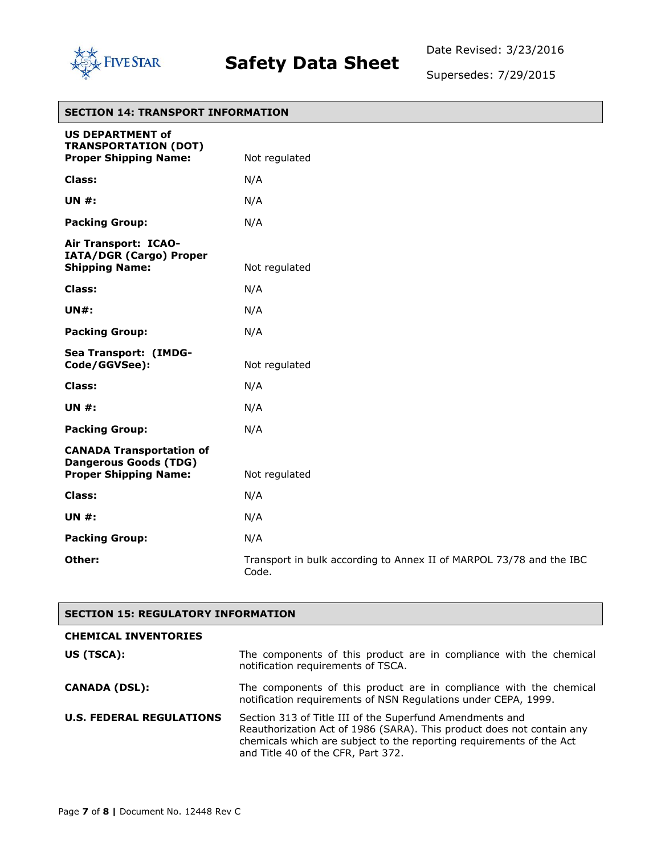

Date Revised: 3/23/2016

Supersedes: 7/29/2015

٦

| <b>SECTION 14: TRANSPORT INFORMATION</b>                                                        |                                                                              |  |  |
|-------------------------------------------------------------------------------------------------|------------------------------------------------------------------------------|--|--|
| <b>US DEPARTMENT of</b><br><b>TRANSPORTATION (DOT)</b><br><b>Proper Shipping Name:</b>          | Not regulated                                                                |  |  |
| <b>Class:</b>                                                                                   | N/A                                                                          |  |  |
| <b>UN#:</b>                                                                                     | N/A                                                                          |  |  |
| <b>Packing Group:</b>                                                                           | N/A                                                                          |  |  |
| Air Transport: ICAO-<br>IATA/DGR (Cargo) Proper<br><b>Shipping Name:</b>                        | Not regulated                                                                |  |  |
| Class:                                                                                          | N/A                                                                          |  |  |
| <b>UN#:</b>                                                                                     | N/A                                                                          |  |  |
| <b>Packing Group:</b>                                                                           | N/A                                                                          |  |  |
| Sea Transport: (IMDG-<br>Code/GGVSee):                                                          | Not regulated                                                                |  |  |
| Class:                                                                                          | N/A                                                                          |  |  |
| <b>UN #:</b>                                                                                    | N/A                                                                          |  |  |
| <b>Packing Group:</b>                                                                           | N/A                                                                          |  |  |
| <b>CANADA Transportation of</b><br><b>Dangerous Goods (TDG)</b><br><b>Proper Shipping Name:</b> | Not regulated                                                                |  |  |
| Class:                                                                                          | N/A                                                                          |  |  |
| <b>UN#:</b>                                                                                     | N/A                                                                          |  |  |
| <b>Packing Group:</b>                                                                           | N/A                                                                          |  |  |
| Other:                                                                                          | Transport in bulk according to Annex II of MARPOL 73/78 and the IBC<br>Code. |  |  |

#### **SECTION 15: REGULATORY INFORMATION**

| <b>CHEMICAL INVENTORIES</b>     |                                                                                                                                                                                                                                                 |
|---------------------------------|-------------------------------------------------------------------------------------------------------------------------------------------------------------------------------------------------------------------------------------------------|
| US (TSCA):                      | The components of this product are in compliance with the chemical<br>notification requirements of TSCA.                                                                                                                                        |
| <b>CANADA (DSL):</b>            | The components of this product are in compliance with the chemical<br>notification requirements of NSN Requlations under CEPA, 1999.                                                                                                            |
| <b>U.S. FEDERAL REGULATIONS</b> | Section 313 of Title III of the Superfund Amendments and<br>Reauthorization Act of 1986 (SARA). This product does not contain any<br>chemicals which are subject to the reporting requirements of the Act<br>and Title 40 of the CFR, Part 372. |